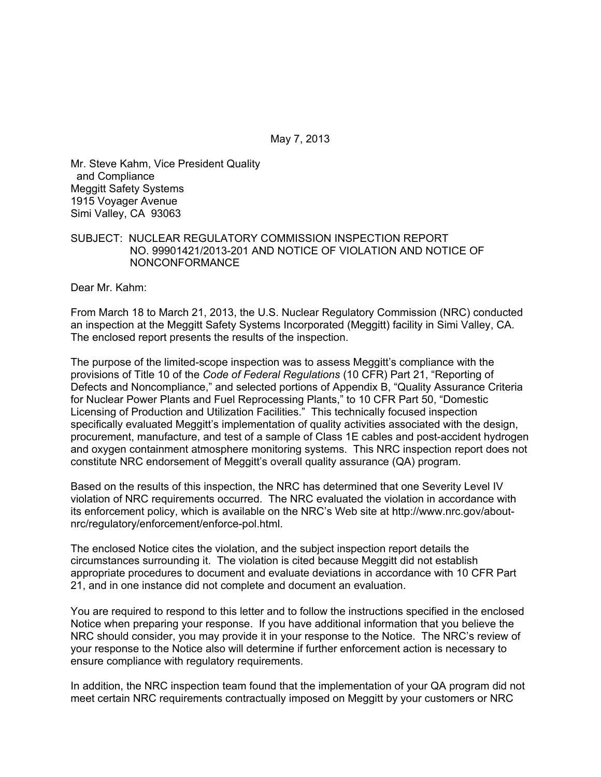May 7, 2013

Mr. Steve Kahm, Vice President Quality and Compliance Meggitt Safety Systems 1915 Voyager Avenue Simi Valley, CA 93063

### SUBJECT: NUCLEAR REGULATORY COMMISSION INSPECTION REPORT NO. 99901421/2013-201 AND NOTICE OF VIOLATION AND NOTICE OF NONCONFORMANCE

Dear Mr. Kahm:

From March 18 to March 21, 2013, the U.S. Nuclear Regulatory Commission (NRC) conducted an inspection at the Meggitt Safety Systems Incorporated (Meggitt) facility in Simi Valley, CA. The enclosed report presents the results of the inspection.

The purpose of the limited-scope inspection was to assess Meggitt's compliance with the provisions of Title 10 of the *Code of Federal Regulations* (10 CFR) Part 21, "Reporting of Defects and Noncompliance," and selected portions of Appendix B, "Quality Assurance Criteria for Nuclear Power Plants and Fuel Reprocessing Plants," to 10 CFR Part 50, "Domestic Licensing of Production and Utilization Facilities." This technically focused inspection specifically evaluated Meggitt's implementation of quality activities associated with the design, procurement, manufacture, and test of a sample of Class 1E cables and post-accident hydrogen and oxygen containment atmosphere monitoring systems. This NRC inspection report does not constitute NRC endorsement of Meggitt's overall quality assurance (QA) program.

Based on the results of this inspection, the NRC has determined that one Severity Level IV violation of NRC requirements occurred. The NRC evaluated the violation in accordance with its enforcement policy, which is available on the NRC's Web site at http://www.nrc.gov/aboutnrc/regulatory/enforcement/enforce-pol.html.

The enclosed Notice cites the violation, and the subject inspection report details the circumstances surrounding it. The violation is cited because Meggitt did not establish appropriate procedures to document and evaluate deviations in accordance with 10 CFR Part 21, and in one instance did not complete and document an evaluation.

You are required to respond to this letter and to follow the instructions specified in the enclosed Notice when preparing your response. If you have additional information that you believe the NRC should consider, you may provide it in your response to the Notice. The NRC's review of your response to the Notice also will determine if further enforcement action is necessary to ensure compliance with regulatory requirements.

In addition, the NRC inspection team found that the implementation of your QA program did not meet certain NRC requirements contractually imposed on Meggitt by your customers or NRC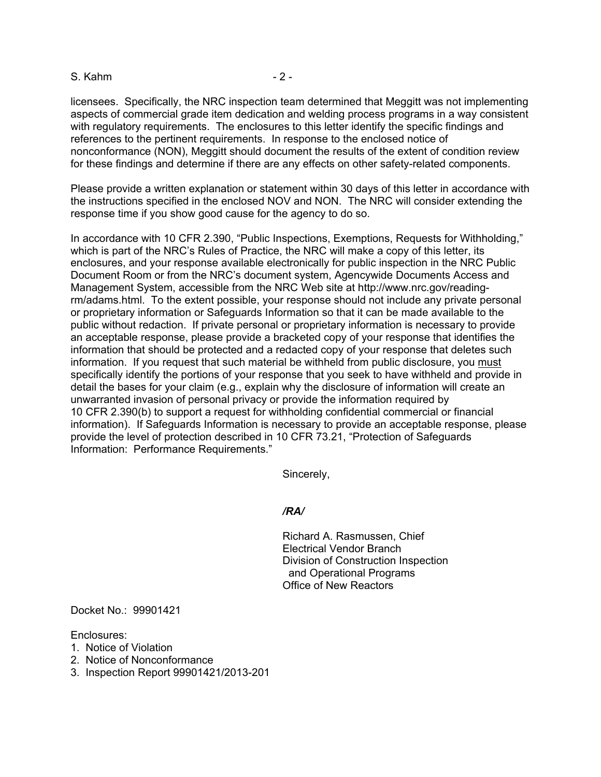#### S. Kahm  $-2$  -

licensees. Specifically, the NRC inspection team determined that Meggitt was not implementing aspects of commercial grade item dedication and welding process programs in a way consistent with regulatory requirements. The enclosures to this letter identify the specific findings and references to the pertinent requirements. In response to the enclosed notice of nonconformance (NON), Meggitt should document the results of the extent of condition review for these findings and determine if there are any effects on other safety-related components.

Please provide a written explanation or statement within 30 days of this letter in accordance with the instructions specified in the enclosed NOV and NON. The NRC will consider extending the response time if you show good cause for the agency to do so.

In accordance with 10 CFR 2.390, "Public Inspections, Exemptions, Requests for Withholding," which is part of the NRC's Rules of Practice, the NRC will make a copy of this letter, its enclosures, and your response available electronically for public inspection in the NRC Public Document Room or from the NRC's document system, Agencywide Documents Access and Management System, accessible from the NRC Web site at http://www.nrc.gov/readingrm/adams.html. To the extent possible, your response should not include any private personal or proprietary information or Safeguards Information so that it can be made available to the public without redaction. If private personal or proprietary information is necessary to provide an acceptable response, please provide a bracketed copy of your response that identifies the information that should be protected and a redacted copy of your response that deletes such information. If you request that such material be withheld from public disclosure, you must specifically identify the portions of your response that you seek to have withheld and provide in detail the bases for your claim (e.g., explain why the disclosure of information will create an unwarranted invasion of personal privacy or provide the information required by 10 CFR 2.390(b) to support a request for withholding confidential commercial or financial information). If Safeguards Information is necessary to provide an acceptable response, please provide the level of protection described in 10 CFR 73.21, "Protection of Safeguards Information: Performance Requirements."

Sincerely,

#### */RA/*

Richard A. Rasmussen, Chief Electrical Vendor Branch Division of Construction Inspection and Operational Programs Office of New Reactors

Docket No.: 99901421

Enclosures:

- 1. Notice of Violation
- 2. Notice of Nonconformance
- 3. Inspection Report 99901421/2013-201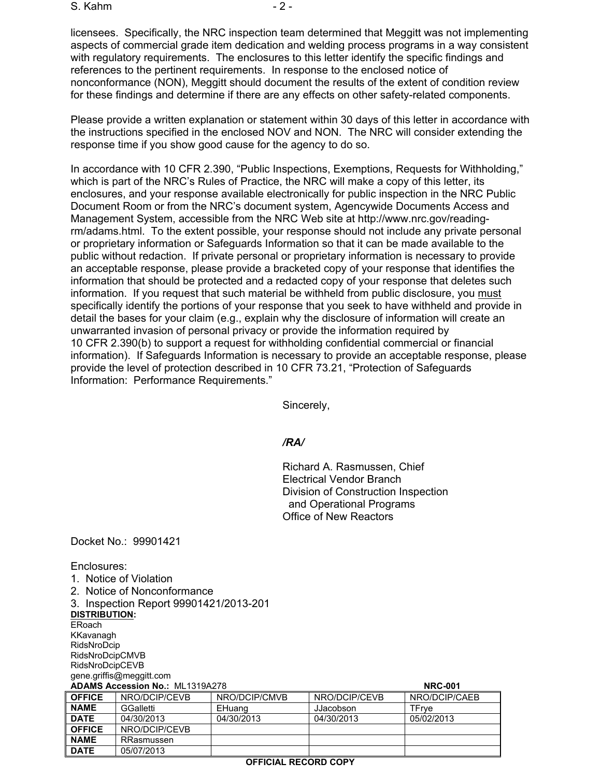S. Kahm - 2 -

licensees. Specifically, the NRC inspection team determined that Meggitt was not implementing aspects of commercial grade item dedication and welding process programs in a way consistent with regulatory requirements. The enclosures to this letter identify the specific findings and references to the pertinent requirements. In response to the enclosed notice of nonconformance (NON), Meggitt should document the results of the extent of condition review for these findings and determine if there are any effects on other safety-related components.

Please provide a written explanation or statement within 30 days of this letter in accordance with the instructions specified in the enclosed NOV and NON. The NRC will consider extending the response time if you show good cause for the agency to do so.

In accordance with 10 CFR 2.390, "Public Inspections, Exemptions, Requests for Withholding," which is part of the NRC's Rules of Practice, the NRC will make a copy of this letter, its enclosures, and your response available electronically for public inspection in the NRC Public Document Room or from the NRC's document system, Agencywide Documents Access and Management System, accessible from the NRC Web site at http://www.nrc.gov/readingrm/adams.html. To the extent possible, your response should not include any private personal or proprietary information or Safeguards Information so that it can be made available to the public without redaction. If private personal or proprietary information is necessary to provide an acceptable response, please provide a bracketed copy of your response that identifies the information that should be protected and a redacted copy of your response that deletes such information. If you request that such material be withheld from public disclosure, you must specifically identify the portions of your response that you seek to have withheld and provide in detail the bases for your claim (e.g., explain why the disclosure of information will create an unwarranted invasion of personal privacy or provide the information required by 10 CFR 2.390(b) to support a request for withholding confidential commercial or financial information). If Safeguards Information is necessary to provide an acceptable response, please provide the level of protection described in 10 CFR 73.21, "Protection of Safeguards Information: Performance Requirements."

Sincerely,

#### */RA/*

Richard A. Rasmussen, Chief Electrical Vendor Branch Division of Construction Inspection and Operational Programs Office of New Reactors

Docket No.: 99901421

Enclosures:

|                          | 1. Notice of Violation                 |               |               |                |  |
|--------------------------|----------------------------------------|---------------|---------------|----------------|--|
|                          | 2. Notice of Nonconformance            |               |               |                |  |
|                          | 3. Inspection Report 99901421/2013-201 |               |               |                |  |
| <b>DISTRIBUTION:</b>     |                                        |               |               |                |  |
| ERoach                   |                                        |               |               |                |  |
|                          | KKavanagh                              |               |               |                |  |
|                          | RidsNroDcip                            |               |               |                |  |
| <b>RidsNroDcipCMVB</b>   |                                        |               |               |                |  |
| RidsNroDcipCEVB          |                                        |               |               |                |  |
| gene.griffis@meggitt.com |                                        |               |               |                |  |
|                          | <b>ADAMS Accession No.: ML1319A278</b> |               |               | <b>NRC-001</b> |  |
| <b>OFFICE</b>            | NRO/DCIP/CEVB                          | NRO/DCIP/CMVB | NRO/DCIP/CEVB | NRO/DCIP/CAEB  |  |
| <b>NAME</b>              | GGalletti                              | EHuang        | JJacobson     | TFrve          |  |
| <b>DATE</b>              | 04/30/2013                             | 04/30/2013    | 04/30/2013    | 05/02/2013     |  |
|                          |                                        |               |               |                |  |

**NAME** GGalletti EHuang JJacobson TFrye **DATE** 04/30/2013 04/30/2013 04/30/2013 05/02/2013 **OFFICE** NRO/DCIP/CEVB **NAME** | RRasmussen **DATE** 05/07/2013

#### **OFFICIAL RECORD COPY**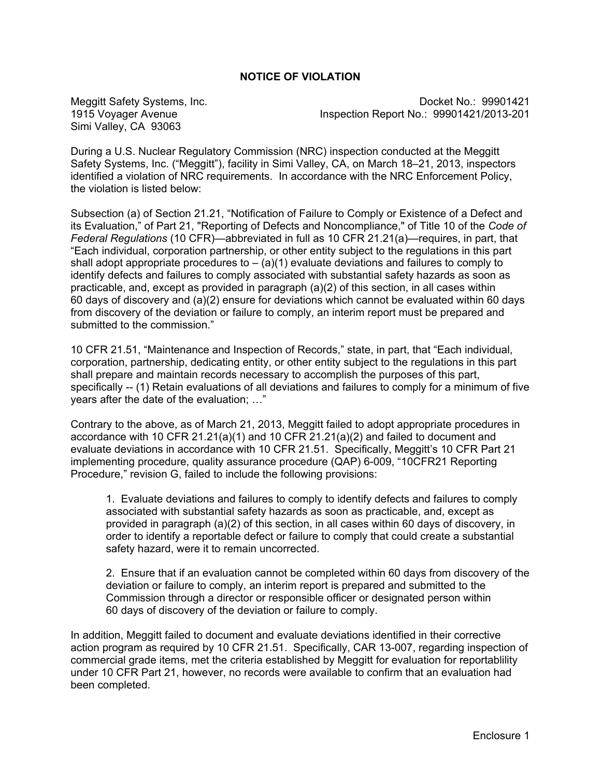# **NOTICE OF VIOLATION**

Simi Valley, CA 93063

Meggitt Safety Systems, Inc. **Docket No.: 99901421** 1915 Voyager Avenue Inspection Report No.: 99901421/2013-201

During a U.S. Nuclear Regulatory Commission (NRC) inspection conducted at the Meggitt Safety Systems, Inc. ("Meggitt"), facility in Simi Valley, CA, on March 18–21, 2013, inspectors identified a violation of NRC requirements. In accordance with the NRC Enforcement Policy, the violation is listed below:

Subsection (a) of Section 21.21, "Notification of Failure to Comply or Existence of a Defect and its Evaluation," of Part 21, "Reporting of Defects and Noncompliance," of Title 10 of the *Code of Federal Regulations* (10 CFR)—abbreviated in full as 10 CFR 21.21(a)—requires, in part, that "Each individual, corporation partnership, or other entity subject to the regulations in this part shall adopt appropriate procedures to  $-$  (a)(1) evaluate deviations and failures to comply to identify defects and failures to comply associated with substantial safety hazards as soon as practicable, and, except as provided in paragraph (a)(2) of this section, in all cases within 60 days of discovery and (a)(2) ensure for deviations which cannot be evaluated within 60 days from discovery of the deviation or failure to comply, an interim report must be prepared and submitted to the commission."

10 CFR 21.51, "Maintenance and Inspection of Records," state, in part, that "Each individual, corporation, partnership, dedicating entity, or other entity subject to the regulations in this part shall prepare and maintain records necessary to accomplish the purposes of this part, specifically -- (1) Retain evaluations of all deviations and failures to comply for a minimum of five years after the date of the evaluation; …"

Contrary to the above, as of March 21, 2013, Meggitt failed to adopt appropriate procedures in accordance with 10 CFR 21.21(a)(1) and 10 CFR 21.21(a)(2) and failed to document and evaluate deviations in accordance with 10 CFR 21.51. Specifically, Meggitt's 10 CFR Part 21 implementing procedure, quality assurance procedure (QAP) 6-009, "10CFR21 Reporting Procedure," revision G, failed to include the following provisions:

1. Evaluate deviations and failures to comply to identify defects and failures to comply associated with substantial safety hazards as soon as practicable, and, except as provided in paragraph (a)(2) of this section, in all cases within 60 days of discovery, in order to identify a reportable defect or failure to comply that could create a substantial safety hazard, were it to remain uncorrected.

2. Ensure that if an evaluation cannot be completed within 60 days from discovery of the deviation or failure to comply, an interim report is prepared and submitted to the Commission through a director or responsible officer or designated person within 60 days of discovery of the deviation or failure to comply.

In addition, Meggitt failed to document and evaluate deviations identified in their corrective action program as required by 10 CFR 21.51. Specifically, CAR 13-007, regarding inspection of commercial grade items, met the criteria established by Meggitt for evaluation for reportablility under 10 CFR Part 21, however, no records were available to confirm that an evaluation had been completed.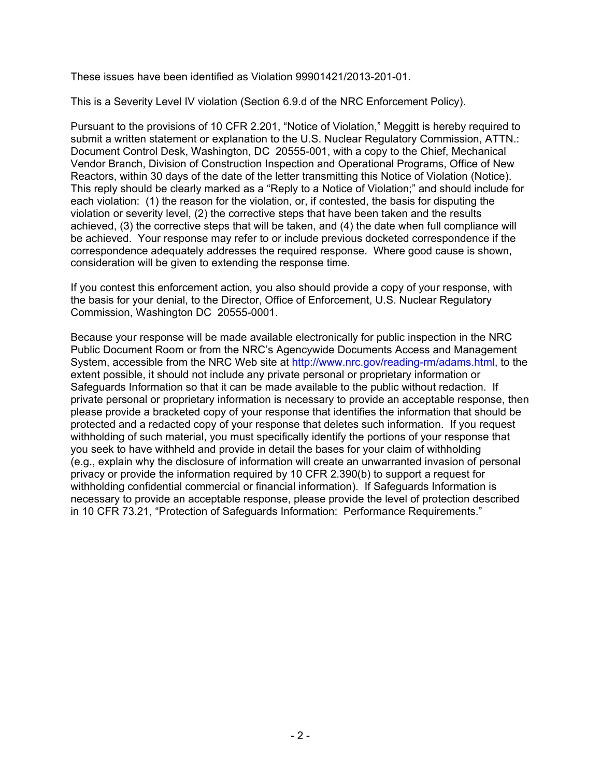These issues have been identified as Violation 99901421/2013-201-01.

This is a Severity Level IV violation (Section 6.9.d of the NRC Enforcement Policy).

Pursuant to the provisions of 10 CFR 2.201, "Notice of Violation," Meggitt is hereby required to submit a written statement or explanation to the U.S. Nuclear Regulatory Commission, ATTN.: Document Control Desk, Washington, DC 20555-001, with a copy to the Chief, Mechanical Vendor Branch, Division of Construction Inspection and Operational Programs, Office of New Reactors, within 30 days of the date of the letter transmitting this Notice of Violation (Notice). This reply should be clearly marked as a "Reply to a Notice of Violation;" and should include for each violation: (1) the reason for the violation, or, if contested, the basis for disputing the violation or severity level, (2) the corrective steps that have been taken and the results achieved, (3) the corrective steps that will be taken, and (4) the date when full compliance will be achieved. Your response may refer to or include previous docketed correspondence if the correspondence adequately addresses the required response. Where good cause is shown, consideration will be given to extending the response time.

If you contest this enforcement action, you also should provide a copy of your response, with the basis for your denial, to the Director, Office of Enforcement, U.S. Nuclear Regulatory Commission, Washington DC 20555-0001.

Because your response will be made available electronically for public inspection in the NRC Public Document Room or from the NRC's Agencywide Documents Access and Management System, accessible from the NRC Web site at http://www.nrc.gov/reading-rm/adams.html, to the extent possible, it should not include any private personal or proprietary information or Safeguards Information so that it can be made available to the public without redaction. If private personal or proprietary information is necessary to provide an acceptable response, then please provide a bracketed copy of your response that identifies the information that should be protected and a redacted copy of your response that deletes such information. If you request withholding of such material, you must specifically identify the portions of your response that you seek to have withheld and provide in detail the bases for your claim of withholding (e.g., explain why the disclosure of information will create an unwarranted invasion of personal privacy or provide the information required by 10 CFR 2.390(b) to support a request for withholding confidential commercial or financial information). If Safeguards Information is necessary to provide an acceptable response, please provide the level of protection described in 10 CFR 73.21, "Protection of Safeguards Information: Performance Requirements."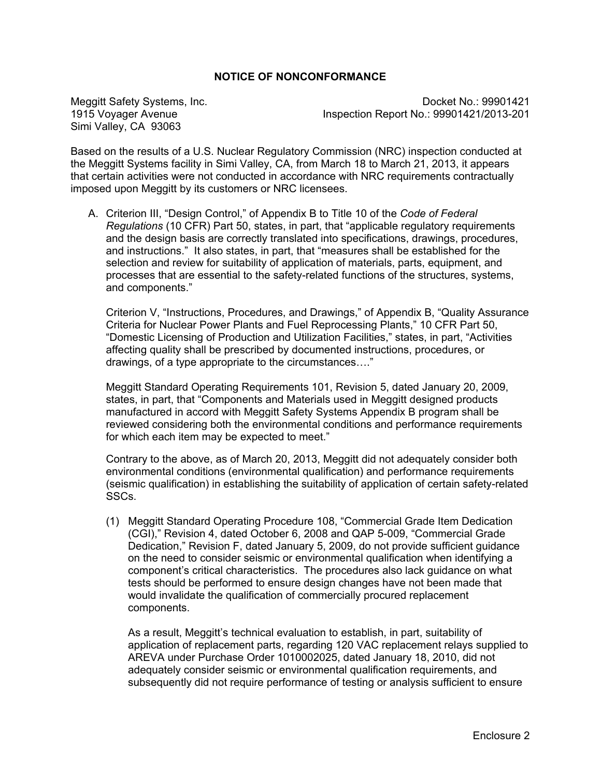# **NOTICE OF NONCONFORMANCE**

Simi Valley, CA 93063

Meggitt Safety Systems, Inc. Docket No.: 99901421 1915 Voyager Avenue Inspection Report No.: 99901421/2013-201

Based on the results of a U.S. Nuclear Regulatory Commission (NRC) inspection conducted at the Meggitt Systems facility in Simi Valley, CA, from March 18 to March 21, 2013, it appears that certain activities were not conducted in accordance with NRC requirements contractually imposed upon Meggitt by its customers or NRC licensees.

A. Criterion III, "Design Control," of Appendix B to Title 10 of the *Code of Federal Regulations* (10 CFR) Part 50, states, in part, that "applicable regulatory requirements and the design basis are correctly translated into specifications, drawings, procedures, and instructions." It also states, in part, that "measures shall be established for the selection and review for suitability of application of materials, parts, equipment, and processes that are essential to the safety-related functions of the structures, systems, and components."

Criterion V, "Instructions, Procedures, and Drawings," of Appendix B, "Quality Assurance Criteria for Nuclear Power Plants and Fuel Reprocessing Plants," 10 CFR Part 50, "Domestic Licensing of Production and Utilization Facilities," states, in part, "Activities affecting quality shall be prescribed by documented instructions, procedures, or drawings, of a type appropriate to the circumstances…."

Meggitt Standard Operating Requirements 101, Revision 5, dated January 20, 2009, states, in part, that "Components and Materials used in Meggitt designed products manufactured in accord with Meggitt Safety Systems Appendix B program shall be reviewed considering both the environmental conditions and performance requirements for which each item may be expected to meet."

Contrary to the above, as of March 20, 2013, Meggitt did not adequately consider both environmental conditions (environmental qualification) and performance requirements (seismic qualification) in establishing the suitability of application of certain safety-related SSCs.

(1) Meggitt Standard Operating Procedure 108, "Commercial Grade Item Dedication (CGI)," Revision 4, dated October 6, 2008 and QAP 5-009, "Commercial Grade Dedication," Revision F, dated January 5, 2009, do not provide sufficient guidance on the need to consider seismic or environmental qualification when identifying a component's critical characteristics. The procedures also lack guidance on what tests should be performed to ensure design changes have not been made that would invalidate the qualification of commercially procured replacement components.

As a result, Meggitt's technical evaluation to establish, in part, suitability of application of replacement parts, regarding 120 VAC replacement relays supplied to AREVA under Purchase Order 1010002025, dated January 18, 2010, did not adequately consider seismic or environmental qualification requirements, and subsequently did not require performance of testing or analysis sufficient to ensure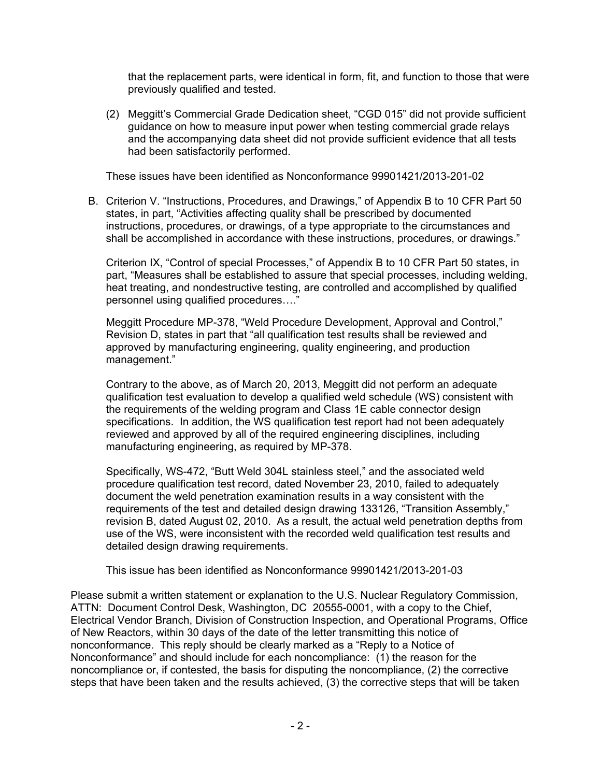that the replacement parts, were identical in form, fit, and function to those that were previously qualified and tested.

(2) Meggitt's Commercial Grade Dedication sheet, "CGD 015" did not provide sufficient guidance on how to measure input power when testing commercial grade relays and the accompanying data sheet did not provide sufficient evidence that all tests had been satisfactorily performed.

These issues have been identified as Nonconformance 99901421/2013-201-02

B. Criterion V. "Instructions, Procedures, and Drawings," of Appendix B to 10 CFR Part 50 states, in part, "Activities affecting quality shall be prescribed by documented instructions, procedures, or drawings, of a type appropriate to the circumstances and shall be accomplished in accordance with these instructions, procedures, or drawings."

Criterion IX, "Control of special Processes," of Appendix B to 10 CFR Part 50 states, in part, "Measures shall be established to assure that special processes, including welding, heat treating, and nondestructive testing, are controlled and accomplished by qualified personnel using qualified procedures…."

Meggitt Procedure MP-378, "Weld Procedure Development, Approval and Control," Revision D, states in part that "all qualification test results shall be reviewed and approved by manufacturing engineering, quality engineering, and production management."

Contrary to the above, as of March 20, 2013, Meggitt did not perform an adequate qualification test evaluation to develop a qualified weld schedule (WS) consistent with the requirements of the welding program and Class 1E cable connector design specifications. In addition, the WS qualification test report had not been adequately reviewed and approved by all of the required engineering disciplines, including manufacturing engineering, as required by MP-378.

Specifically, WS-472, "Butt Weld 304L stainless steel," and the associated weld procedure qualification test record, dated November 23, 2010, failed to adequately document the weld penetration examination results in a way consistent with the requirements of the test and detailed design drawing 133126, "Transition Assembly," revision B, dated August 02, 2010. As a result, the actual weld penetration depths from use of the WS, were inconsistent with the recorded weld qualification test results and detailed design drawing requirements.

This issue has been identified as Nonconformance 99901421/2013-201-03

Please submit a written statement or explanation to the U.S. Nuclear Regulatory Commission, ATTN: Document Control Desk, Washington, DC 20555-0001, with a copy to the Chief, Electrical Vendor Branch, Division of Construction Inspection, and Operational Programs, Office of New Reactors, within 30 days of the date of the letter transmitting this notice of nonconformance. This reply should be clearly marked as a "Reply to a Notice of Nonconformance" and should include for each noncompliance: (1) the reason for the noncompliance or, if contested, the basis for disputing the noncompliance, (2) the corrective steps that have been taken and the results achieved, (3) the corrective steps that will be taken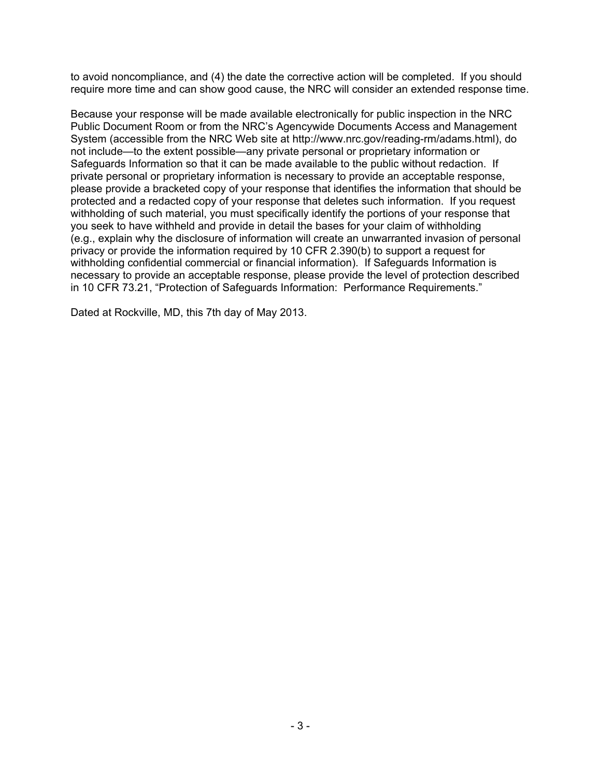to avoid noncompliance, and (4) the date the corrective action will be completed. If you should require more time and can show good cause, the NRC will consider an extended response time.

Because your response will be made available electronically for public inspection in the NRC Public Document Room or from the NRC's Agencywide Documents Access and Management System (accessible from the NRC Web site at http://www.nrc.gov/reading-rm/adams.html), do not include—to the extent possible—any private personal or proprietary information or Safeguards Information so that it can be made available to the public without redaction. If private personal or proprietary information is necessary to provide an acceptable response, please provide a bracketed copy of your response that identifies the information that should be protected and a redacted copy of your response that deletes such information. If you request withholding of such material, you must specifically identify the portions of your response that you seek to have withheld and provide in detail the bases for your claim of withholding (e.g., explain why the disclosure of information will create an unwarranted invasion of personal privacy or provide the information required by 10 CFR 2.390(b) to support a request for withholding confidential commercial or financial information). If Safeguards Information is necessary to provide an acceptable response, please provide the level of protection described in 10 CFR 73.21, "Protection of Safeguards Information: Performance Requirements."

Dated at Rockville, MD, this 7th day of May 2013.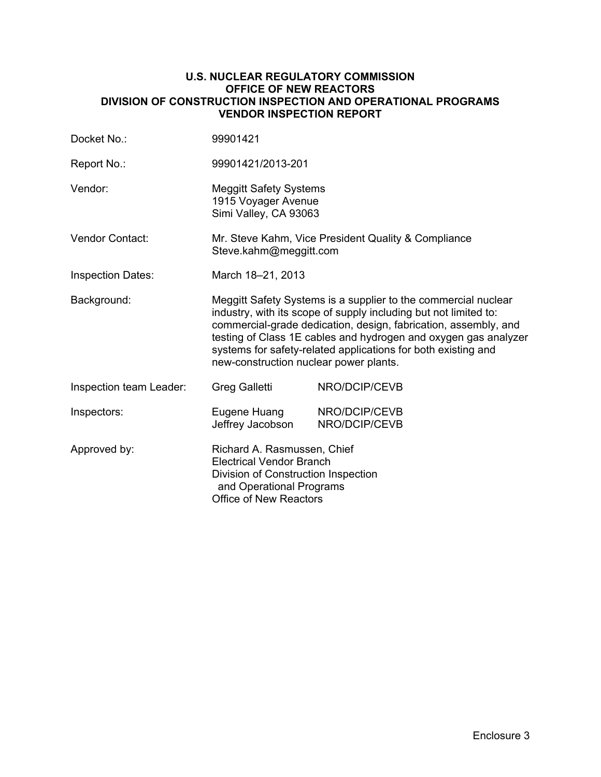#### **U.S. NUCLEAR REGULATORY COMMISSION OFFICE OF NEW REACTORS DIVISION OF CONSTRUCTION INSPECTION AND OPERATIONAL PROGRAMS VENDOR INSPECTION REPORT**

| Docket No.:              | 99901421                                                                                                                                                                                                                                                                                                                                                                            |                                |  |
|--------------------------|-------------------------------------------------------------------------------------------------------------------------------------------------------------------------------------------------------------------------------------------------------------------------------------------------------------------------------------------------------------------------------------|--------------------------------|--|
| Report No.:              | 99901421/2013-201                                                                                                                                                                                                                                                                                                                                                                   |                                |  |
| Vendor:                  | <b>Meggitt Safety Systems</b><br>1915 Voyager Avenue<br>Simi Valley, CA 93063                                                                                                                                                                                                                                                                                                       |                                |  |
| Vendor Contact:          | Mr. Steve Kahm, Vice President Quality & Compliance<br>Steve.kahm@meggitt.com                                                                                                                                                                                                                                                                                                       |                                |  |
| <b>Inspection Dates:</b> | March 18-21, 2013                                                                                                                                                                                                                                                                                                                                                                   |                                |  |
| Background:              | Meggitt Safety Systems is a supplier to the commercial nuclear<br>industry, with its scope of supply including but not limited to:<br>commercial-grade dedication, design, fabrication, assembly, and<br>testing of Class 1E cables and hydrogen and oxygen gas analyzer<br>systems for safety-related applications for both existing and<br>new-construction nuclear power plants. |                                |  |
| Inspection team Leader:  | Greg Galletti                                                                                                                                                                                                                                                                                                                                                                       | NRO/DCIP/CEVB                  |  |
| Inspectors:              | Eugene Huang<br>Jeffrey Jacobson                                                                                                                                                                                                                                                                                                                                                    | NRO/DCIP/CEVB<br>NRO/DCIP/CEVB |  |
| Approved by:             | Richard A. Rasmussen, Chief<br><b>Electrical Vendor Branch</b><br>Division of Construction Inspection<br>and Operational Programs<br><b>Office of New Reactors</b>                                                                                                                                                                                                                  |                                |  |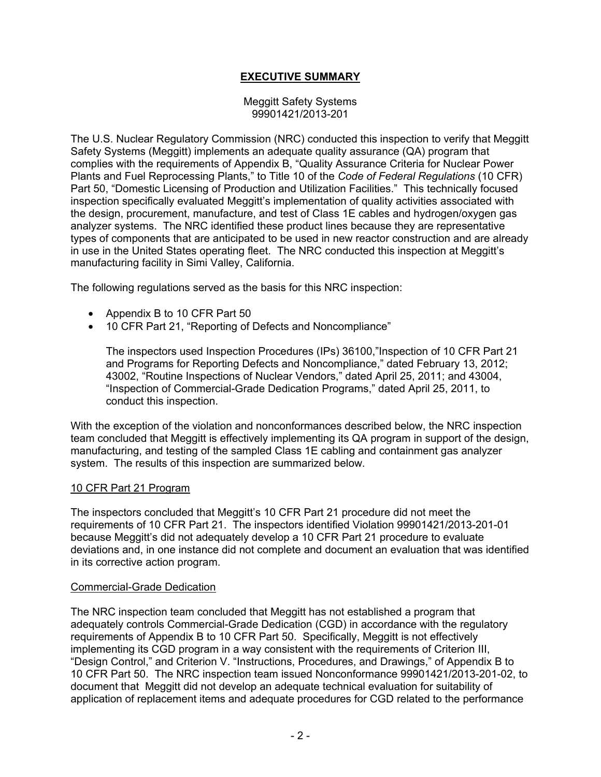# **EXECUTIVE SUMMARY**

#### Meggitt Safety Systems 99901421/2013-201

The U.S. Nuclear Regulatory Commission (NRC) conducted this inspection to verify that Meggitt Safety Systems (Meggitt) implements an adequate quality assurance (QA) program that complies with the requirements of Appendix B, "Quality Assurance Criteria for Nuclear Power Plants and Fuel Reprocessing Plants," to Title 10 of the *Code of Federal Regulations* (10 CFR) Part 50, "Domestic Licensing of Production and Utilization Facilities." This technically focused inspection specifically evaluated Meggitt's implementation of quality activities associated with the design, procurement, manufacture, and test of Class 1E cables and hydrogen/oxygen gas analyzer systems. The NRC identified these product lines because they are representative types of components that are anticipated to be used in new reactor construction and are already in use in the United States operating fleet. The NRC conducted this inspection at Meggitt's manufacturing facility in Simi Valley, California.

The following regulations served as the basis for this NRC inspection:

- Appendix B to 10 CFR Part 50
- 10 CFR Part 21, "Reporting of Defects and Noncompliance"

The inspectors used Inspection Procedures (IPs) 36100,"Inspection of 10 CFR Part 21 and Programs for Reporting Defects and Noncompliance," dated February 13, 2012; 43002, "Routine Inspections of Nuclear Vendors," dated April 25, 2011; and 43004, "Inspection of Commercial-Grade Dedication Programs," dated April 25, 2011, to conduct this inspection.

With the exception of the violation and nonconformances described below, the NRC inspection team concluded that Meggitt is effectively implementing its QA program in support of the design, manufacturing, and testing of the sampled Class 1E cabling and containment gas analyzer system. The results of this inspection are summarized below.

#### 10 CFR Part 21 Program

The inspectors concluded that Meggitt's 10 CFR Part 21 procedure did not meet the requirements of 10 CFR Part 21. The inspectors identified Violation 99901421/2013-201-01 because Meggitt's did not adequately develop a 10 CFR Part 21 procedure to evaluate deviations and, in one instance did not complete and document an evaluation that was identified in its corrective action program.

#### Commercial-Grade Dedication

The NRC inspection team concluded that Meggitt has not established a program that adequately controls Commercial-Grade Dedication (CGD) in accordance with the regulatory requirements of Appendix B to 10 CFR Part 50. Specifically, Meggitt is not effectively implementing its CGD program in a way consistent with the requirements of Criterion III, "Design Control," and Criterion V. "Instructions, Procedures, and Drawings," of Appendix B to 10 CFR Part 50. The NRC inspection team issued Nonconformance 99901421/2013-201-02, to document that Meggitt did not develop an adequate technical evaluation for suitability of application of replacement items and adequate procedures for CGD related to the performance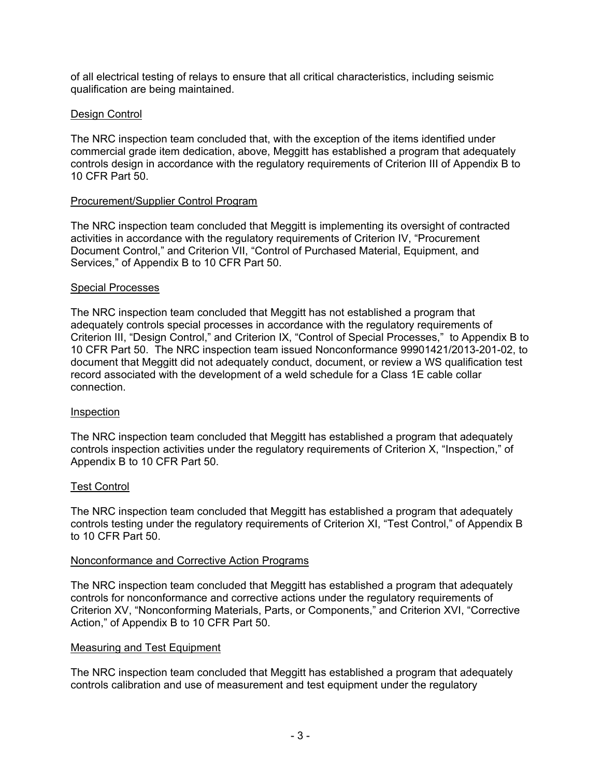of all electrical testing of relays to ensure that all critical characteristics, including seismic qualification are being maintained.

# Design Control

The NRC inspection team concluded that, with the exception of the items identified under commercial grade item dedication, above, Meggitt has established a program that adequately controls design in accordance with the regulatory requirements of Criterion III of Appendix B to 10 CFR Part 50.

# Procurement/Supplier Control Program

The NRC inspection team concluded that Meggitt is implementing its oversight of contracted activities in accordance with the regulatory requirements of Criterion IV, "Procurement Document Control," and Criterion VII, "Control of Purchased Material, Equipment, and Services," of Appendix B to 10 CFR Part 50.

### Special Processes

The NRC inspection team concluded that Meggitt has not established a program that adequately controls special processes in accordance with the regulatory requirements of Criterion III, "Design Control," and Criterion IX, "Control of Special Processes," to Appendix B to 10 CFR Part 50. The NRC inspection team issued Nonconformance 99901421/2013-201-02, to document that Meggitt did not adequately conduct, document, or review a WS qualification test record associated with the development of a weld schedule for a Class 1E cable collar connection.

# Inspection

The NRC inspection team concluded that Meggitt has established a program that adequately controls inspection activities under the regulatory requirements of Criterion X, "Inspection," of Appendix B to 10 CFR Part 50.

#### Test Control

The NRC inspection team concluded that Meggitt has established a program that adequately controls testing under the regulatory requirements of Criterion XI, "Test Control," of Appendix B to 10 CFR Part 50.

#### Nonconformance and Corrective Action Programs

The NRC inspection team concluded that Meggitt has established a program that adequately controls for nonconformance and corrective actions under the regulatory requirements of Criterion XV, "Nonconforming Materials, Parts, or Components," and Criterion XVI, "Corrective Action," of Appendix B to 10 CFR Part 50.

# Measuring and Test Equipment

The NRC inspection team concluded that Meggitt has established a program that adequately controls calibration and use of measurement and test equipment under the regulatory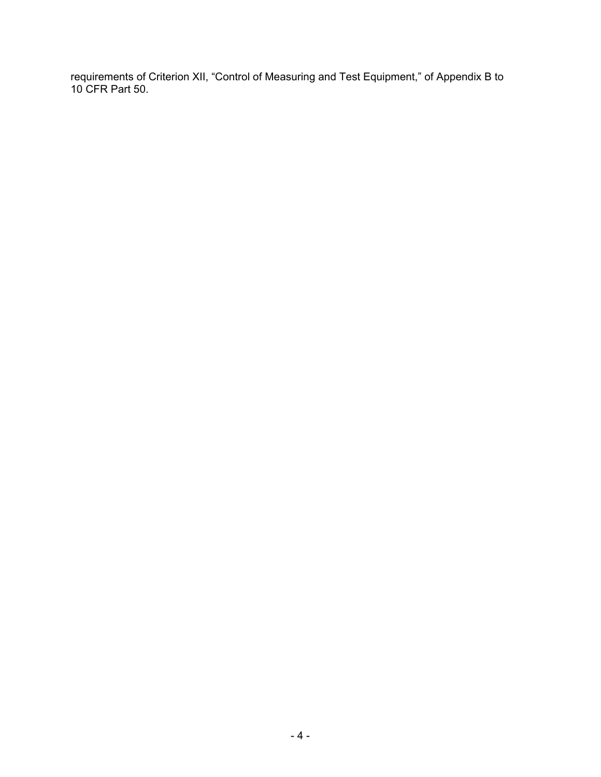requirements of Criterion XII, "Control of Measuring and Test Equipment," of Appendix B to 10 CFR Part 50.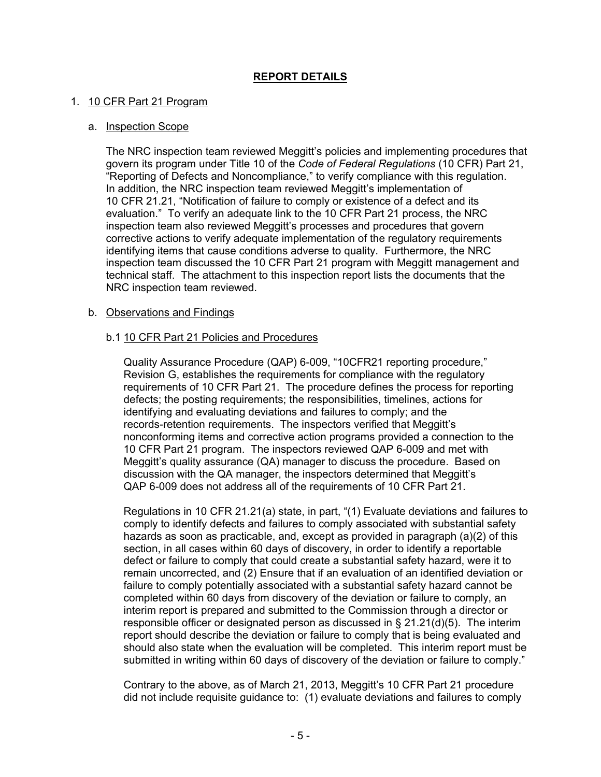# **REPORT DETAILS**

### 1. 10 CFR Part 21 Program

#### a. Inspection Scope

The NRC inspection team reviewed Meggitt's policies and implementing procedures that govern its program under Title 10 of the *Code of Federal Regulations* (10 CFR) Part 21, "Reporting of Defects and Noncompliance," to verify compliance with this regulation. In addition, the NRC inspection team reviewed Meggitt's implementation of 10 CFR 21.21, "Notification of failure to comply or existence of a defect and its evaluation." To verify an adequate link to the 10 CFR Part 21 process, the NRC inspection team also reviewed Meggitt's processes and procedures that govern corrective actions to verify adequate implementation of the regulatory requirements identifying items that cause conditions adverse to quality. Furthermore, the NRC inspection team discussed the 10 CFR Part 21 program with Meggitt management and technical staff. The attachment to this inspection report lists the documents that the NRC inspection team reviewed.

#### b. Observations and Findings

### b.1 10 CFR Part 21 Policies and Procedures

Quality Assurance Procedure (QAP) 6-009, "10CFR21 reporting procedure," Revision G, establishes the requirements for compliance with the regulatory requirements of 10 CFR Part 21. The procedure defines the process for reporting defects; the posting requirements; the responsibilities, timelines, actions for identifying and evaluating deviations and failures to comply; and the records-retention requirements. The inspectors verified that Meggitt's nonconforming items and corrective action programs provided a connection to the 10 CFR Part 21 program. The inspectors reviewed QAP 6-009 and met with Meggitt's quality assurance (QA) manager to discuss the procedure. Based on discussion with the QA manager, the inspectors determined that Meggitt's QAP 6-009 does not address all of the requirements of 10 CFR Part 21.

Regulations in 10 CFR 21.21(a) state, in part, "(1) Evaluate deviations and failures to comply to identify defects and failures to comply associated with substantial safety hazards as soon as practicable, and, except as provided in paragraph (a)(2) of this section, in all cases within 60 days of discovery, in order to identify a reportable defect or failure to comply that could create a substantial safety hazard, were it to remain uncorrected, and (2) Ensure that if an evaluation of an identified deviation or failure to comply potentially associated with a substantial safety hazard cannot be completed within 60 days from discovery of the deviation or failure to comply, an interim report is prepared and submitted to the Commission through a director or responsible officer or designated person as discussed in  $\S 21.21(d)(5)$ . The interim report should describe the deviation or failure to comply that is being evaluated and should also state when the evaluation will be completed. This interim report must be submitted in writing within 60 days of discovery of the deviation or failure to comply."

Contrary to the above, as of March 21, 2013, Meggitt's 10 CFR Part 21 procedure did not include requisite guidance to: (1) evaluate deviations and failures to comply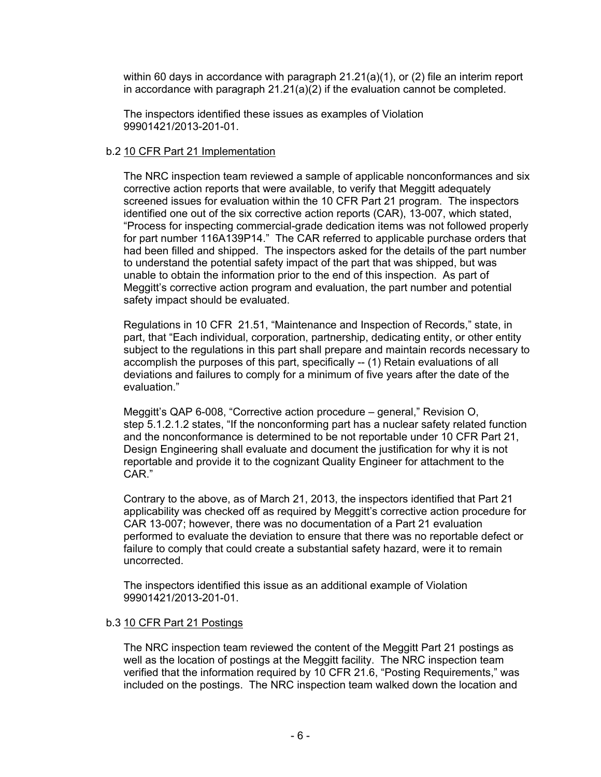within 60 days in accordance with paragraph 21.21(a)(1), or (2) file an interim report in accordance with paragraph  $21.21(a)(2)$  if the evaluation cannot be completed.

The inspectors identified these issues as examples of Violation 99901421/2013-201-01.

### b.2 10 CFR Part 21 Implementation

The NRC inspection team reviewed a sample of applicable nonconformances and six corrective action reports that were available, to verify that Meggitt adequately screened issues for evaluation within the 10 CFR Part 21 program. The inspectors identified one out of the six corrective action reports (CAR), 13-007, which stated, "Process for inspecting commercial-grade dedication items was not followed properly for part number 116A139P14." The CAR referred to applicable purchase orders that had been filled and shipped. The inspectors asked for the details of the part number to understand the potential safety impact of the part that was shipped, but was unable to obtain the information prior to the end of this inspection. As part of Meggitt's corrective action program and evaluation, the part number and potential safety impact should be evaluated.

Regulations in 10 CFR 21.51, "Maintenance and Inspection of Records," state, in part, that "Each individual, corporation, partnership, dedicating entity, or other entity subject to the regulations in this part shall prepare and maintain records necessary to accomplish the purposes of this part, specifically -- (1) Retain evaluations of all deviations and failures to comply for a minimum of five years after the date of the evaluation."

Meggitt's QAP 6-008, "Corrective action procedure – general," Revision O, step 5.1.2.1.2 states, "If the nonconforming part has a nuclear safety related function and the nonconformance is determined to be not reportable under 10 CFR Part 21, Design Engineering shall evaluate and document the justification for why it is not reportable and provide it to the cognizant Quality Engineer for attachment to the CAR."

Contrary to the above, as of March 21, 2013, the inspectors identified that Part 21 applicability was checked off as required by Meggitt's corrective action procedure for CAR 13-007; however, there was no documentation of a Part 21 evaluation performed to evaluate the deviation to ensure that there was no reportable defect or failure to comply that could create a substantial safety hazard, were it to remain uncorrected.

The inspectors identified this issue as an additional example of Violation 99901421/2013-201-01.

# b.3 10 CFR Part 21 Postings

The NRC inspection team reviewed the content of the Meggitt Part 21 postings as well as the location of postings at the Meggitt facility. The NRC inspection team verified that the information required by 10 CFR 21.6, "Posting Requirements," was included on the postings. The NRC inspection team walked down the location and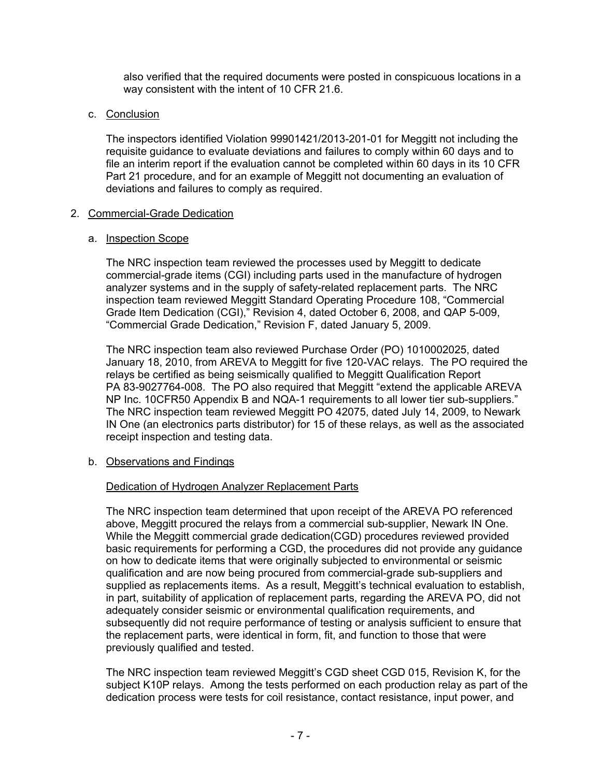also verified that the required documents were posted in conspicuous locations in a way consistent with the intent of 10 CFR 21.6.

# c. Conclusion

The inspectors identified Violation 99901421/2013-201-01 for Meggitt not including the requisite guidance to evaluate deviations and failures to comply within 60 days and to file an interim report if the evaluation cannot be completed within 60 days in its 10 CFR Part 21 procedure, and for an example of Meggitt not documenting an evaluation of deviations and failures to comply as required.

### 2. Commercial-Grade Dedication

### a. Inspection Scope

The NRC inspection team reviewed the processes used by Meggitt to dedicate commercial-grade items (CGI) including parts used in the manufacture of hydrogen analyzer systems and in the supply of safety-related replacement parts. The NRC inspection team reviewed Meggitt Standard Operating Procedure 108, "Commercial Grade Item Dedication (CGI)," Revision 4, dated October 6, 2008, and QAP 5-009, "Commercial Grade Dedication," Revision F, dated January 5, 2009.

The NRC inspection team also reviewed Purchase Order (PO) 1010002025, dated January 18, 2010, from AREVA to Meggitt for five 120-VAC relays. The PO required the relays be certified as being seismically qualified to Meggitt Qualification Report PA 83-9027764-008. The PO also required that Meggitt "extend the applicable AREVA NP Inc. 10CFR50 Appendix B and NQA-1 requirements to all lower tier sub-suppliers." The NRC inspection team reviewed Meggitt PO 42075, dated July 14, 2009, to Newark IN One (an electronics parts distributor) for 15 of these relays, as well as the associated receipt inspection and testing data.

# b. Observations and Findings

# Dedication of Hydrogen Analyzer Replacement Parts

The NRC inspection team determined that upon receipt of the AREVA PO referenced above, Meggitt procured the relays from a commercial sub-supplier, Newark IN One. While the Meggitt commercial grade dedication(CGD) procedures reviewed provided basic requirements for performing a CGD, the procedures did not provide any guidance on how to dedicate items that were originally subjected to environmental or seismic qualification and are now being procured from commercial-grade sub-suppliers and supplied as replacements items. As a result, Meggitt's technical evaluation to establish, in part, suitability of application of replacement parts, regarding the AREVA PO, did not adequately consider seismic or environmental qualification requirements, and subsequently did not require performance of testing or analysis sufficient to ensure that the replacement parts, were identical in form, fit, and function to those that were previously qualified and tested.

The NRC inspection team reviewed Meggitt's CGD sheet CGD 015, Revision K, for the subject K10P relays. Among the tests performed on each production relay as part of the dedication process were tests for coil resistance, contact resistance, input power, and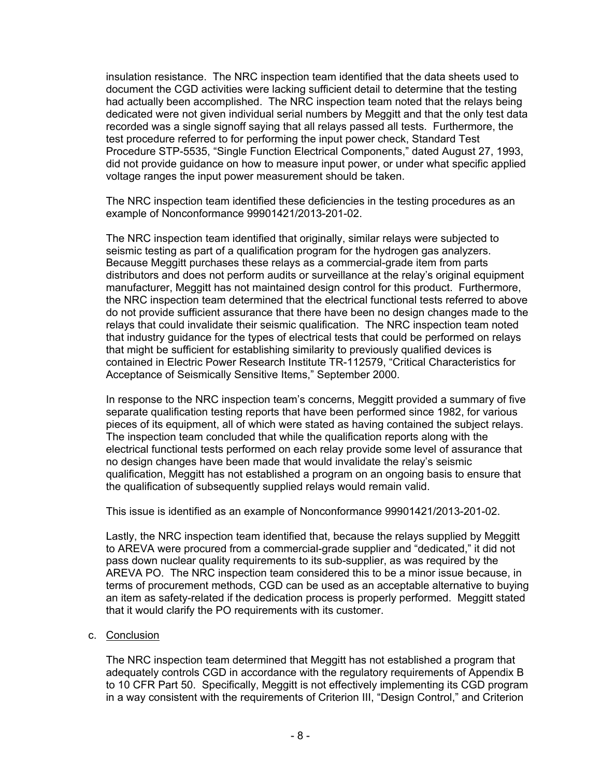insulation resistance. The NRC inspection team identified that the data sheets used to document the CGD activities were lacking sufficient detail to determine that the testing had actually been accomplished. The NRC inspection team noted that the relays being dedicated were not given individual serial numbers by Meggitt and that the only test data recorded was a single signoff saying that all relays passed all tests. Furthermore, the test procedure referred to for performing the input power check, Standard Test Procedure STP-5535, "Single Function Electrical Components," dated August 27, 1993, did not provide guidance on how to measure input power, or under what specific applied voltage ranges the input power measurement should be taken.

The NRC inspection team identified these deficiencies in the testing procedures as an example of Nonconformance 99901421/2013-201-02.

The NRC inspection team identified that originally, similar relays were subjected to seismic testing as part of a qualification program for the hydrogen gas analyzers. Because Meggitt purchases these relays as a commercial-grade item from parts distributors and does not perform audits or surveillance at the relay's original equipment manufacturer, Meggitt has not maintained design control for this product. Furthermore, the NRC inspection team determined that the electrical functional tests referred to above do not provide sufficient assurance that there have been no design changes made to the relays that could invalidate their seismic qualification. The NRC inspection team noted that industry guidance for the types of electrical tests that could be performed on relays that might be sufficient for establishing similarity to previously qualified devices is contained in Electric Power Research Institute TR-112579, "Critical Characteristics for Acceptance of Seismically Sensitive Items," September 2000.

In response to the NRC inspection team's concerns, Meggitt provided a summary of five separate qualification testing reports that have been performed since 1982, for various pieces of its equipment, all of which were stated as having contained the subject relays. The inspection team concluded that while the qualification reports along with the electrical functional tests performed on each relay provide some level of assurance that no design changes have been made that would invalidate the relay's seismic qualification, Meggitt has not established a program on an ongoing basis to ensure that the qualification of subsequently supplied relays would remain valid.

This issue is identified as an example of Nonconformance 99901421/2013-201-02.

Lastly, the NRC inspection team identified that, because the relays supplied by Meggitt to AREVA were procured from a commercial-grade supplier and "dedicated," it did not pass down nuclear quality requirements to its sub-supplier, as was required by the AREVA PO. The NRC inspection team considered this to be a minor issue because, in terms of procurement methods, CGD can be used as an acceptable alternative to buying an item as safety-related if the dedication process is properly performed. Meggitt stated that it would clarify the PO requirements with its customer.

#### c. Conclusion

The NRC inspection team determined that Meggitt has not established a program that adequately controls CGD in accordance with the regulatory requirements of Appendix B to 10 CFR Part 50. Specifically, Meggitt is not effectively implementing its CGD program in a way consistent with the requirements of Criterion III, "Design Control," and Criterion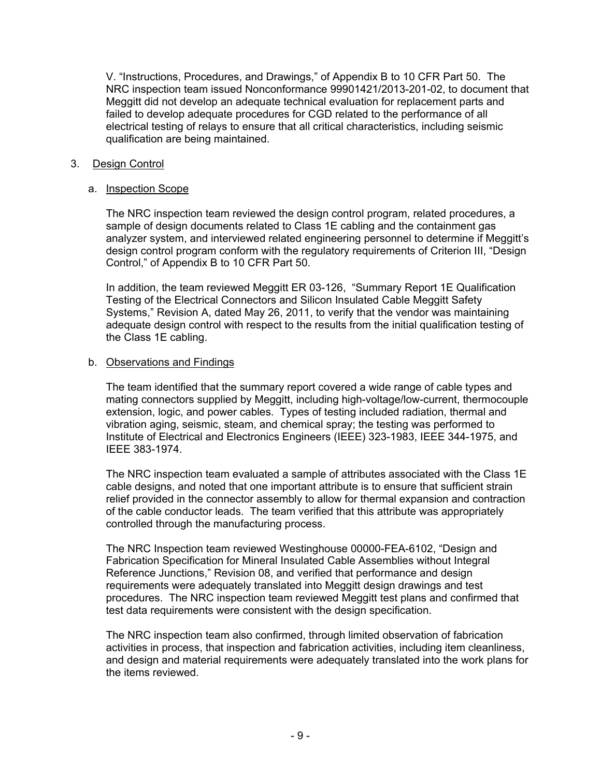V. "Instructions, Procedures, and Drawings," of Appendix B to 10 CFR Part 50. The NRC inspection team issued Nonconformance 99901421/2013-201-02, to document that Meggitt did not develop an adequate technical evaluation for replacement parts and failed to develop adequate procedures for CGD related to the performance of all electrical testing of relays to ensure that all critical characteristics, including seismic qualification are being maintained.

## 3. Design Control

### a. Inspection Scope

The NRC inspection team reviewed the design control program, related procedures, a sample of design documents related to Class 1E cabling and the containment gas analyzer system, and interviewed related engineering personnel to determine if Meggitt's design control program conform with the regulatory requirements of Criterion III, "Design Control," of Appendix B to 10 CFR Part 50.

In addition, the team reviewed Meggitt ER 03-126, "Summary Report 1E Qualification Testing of the Electrical Connectors and Silicon Insulated Cable Meggitt Safety Systems," Revision A, dated May 26, 2011, to verify that the vendor was maintaining adequate design control with respect to the results from the initial qualification testing of the Class 1E cabling.

### b. Observations and Findings

The team identified that the summary report covered a wide range of cable types and mating connectors supplied by Meggitt, including high-voltage/low-current, thermocouple extension, logic, and power cables. Types of testing included radiation, thermal and vibration aging, seismic, steam, and chemical spray; the testing was performed to Institute of Electrical and Electronics Engineers (IEEE) 323-1983, IEEE 344-1975, and IEEE 383-1974.

The NRC inspection team evaluated a sample of attributes associated with the Class 1E cable designs, and noted that one important attribute is to ensure that sufficient strain relief provided in the connector assembly to allow for thermal expansion and contraction of the cable conductor leads. The team verified that this attribute was appropriately controlled through the manufacturing process.

The NRC Inspection team reviewed Westinghouse 00000-FEA-6102, "Design and Fabrication Specification for Mineral Insulated Cable Assemblies without Integral Reference Junctions," Revision 08, and verified that performance and design requirements were adequately translated into Meggitt design drawings and test procedures. The NRC inspection team reviewed Meggitt test plans and confirmed that test data requirements were consistent with the design specification.

The NRC inspection team also confirmed, through limited observation of fabrication activities in process, that inspection and fabrication activities, including item cleanliness, and design and material requirements were adequately translated into the work plans for the items reviewed.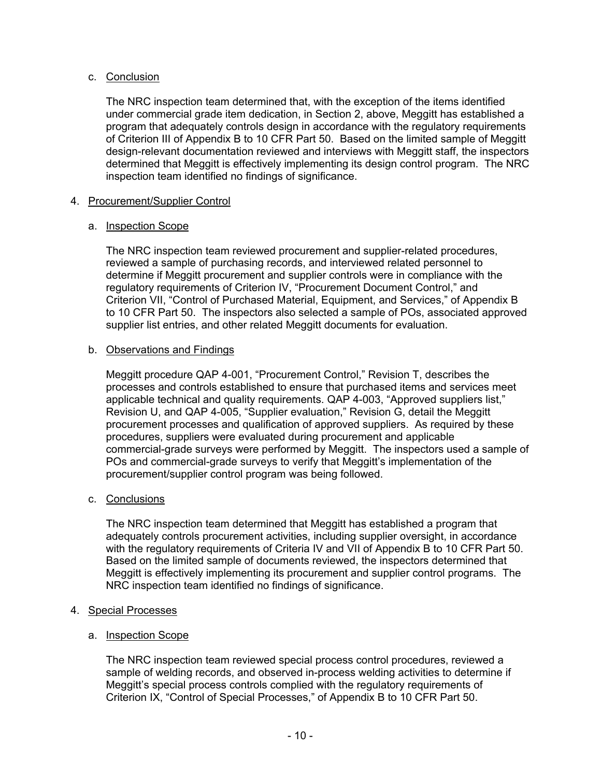# c. Conclusion

The NRC inspection team determined that, with the exception of the items identified under commercial grade item dedication, in Section 2, above, Meggitt has established a program that adequately controls design in accordance with the regulatory requirements of Criterion III of Appendix B to 10 CFR Part 50. Based on the limited sample of Meggitt design-relevant documentation reviewed and interviews with Meggitt staff, the inspectors determined that Meggitt is effectively implementing its design control program. The NRC inspection team identified no findings of significance.

# 4. Procurement/Supplier Control

# a. Inspection Scope

The NRC inspection team reviewed procurement and supplier-related procedures, reviewed a sample of purchasing records, and interviewed related personnel to determine if Meggitt procurement and supplier controls were in compliance with the regulatory requirements of Criterion IV, "Procurement Document Control," and Criterion VII, "Control of Purchased Material, Equipment, and Services," of Appendix B to 10 CFR Part 50. The inspectors also selected a sample of POs, associated approved supplier list entries, and other related Meggitt documents for evaluation.

# b. Observations and Findings

Meggitt procedure QAP 4-001, "Procurement Control," Revision T, describes the processes and controls established to ensure that purchased items and services meet applicable technical and quality requirements. QAP 4-003, "Approved suppliers list," Revision U, and QAP 4-005, "Supplier evaluation," Revision G, detail the Meggitt procurement processes and qualification of approved suppliers. As required by these procedures, suppliers were evaluated during procurement and applicable commercial-grade surveys were performed by Meggitt. The inspectors used a sample of POs and commercial-grade surveys to verify that Meggitt's implementation of the procurement/supplier control program was being followed.

# c. Conclusions

The NRC inspection team determined that Meggitt has established a program that adequately controls procurement activities, including supplier oversight, in accordance with the regulatory requirements of Criteria IV and VII of Appendix B to 10 CFR Part 50. Based on the limited sample of documents reviewed, the inspectors determined that Meggitt is effectively implementing its procurement and supplier control programs. The NRC inspection team identified no findings of significance.

# 4. Special Processes

# a. Inspection Scope

The NRC inspection team reviewed special process control procedures, reviewed a sample of welding records, and observed in-process welding activities to determine if Meggitt's special process controls complied with the regulatory requirements of Criterion IX, "Control of Special Processes," of Appendix B to 10 CFR Part 50.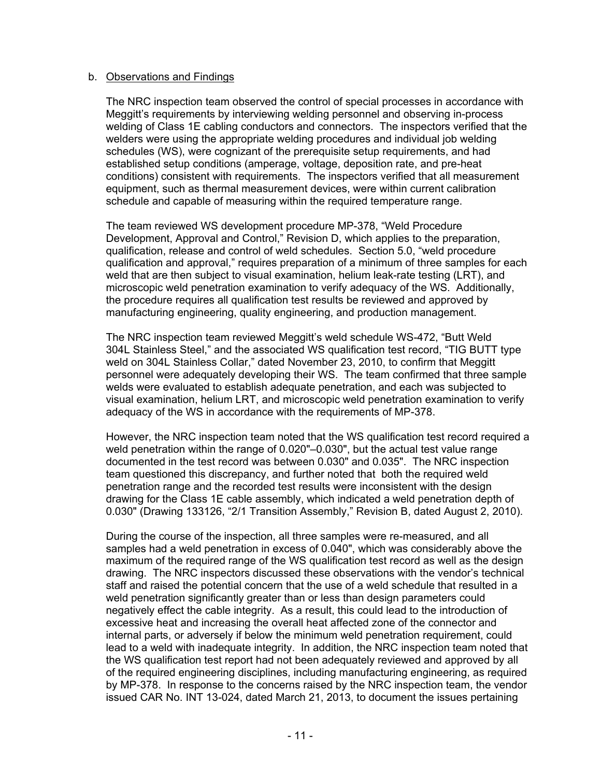#### b. Observations and Findings

The NRC inspection team observed the control of special processes in accordance with Meggitt's requirements by interviewing welding personnel and observing in-process welding of Class 1E cabling conductors and connectors. The inspectors verified that the welders were using the appropriate welding procedures and individual job welding schedules (WS), were cognizant of the prerequisite setup requirements, and had established setup conditions (amperage, voltage, deposition rate, and pre-heat conditions) consistent with requirements. The inspectors verified that all measurement equipment, such as thermal measurement devices, were within current calibration schedule and capable of measuring within the required temperature range.

The team reviewed WS development procedure MP-378, "Weld Procedure Development, Approval and Control," Revision D, which applies to the preparation, qualification, release and control of weld schedules. Section 5.0, "weld procedure qualification and approval," requires preparation of a minimum of three samples for each weld that are then subject to visual examination, helium leak-rate testing (LRT), and microscopic weld penetration examination to verify adequacy of the WS. Additionally, the procedure requires all qualification test results be reviewed and approved by manufacturing engineering, quality engineering, and production management.

The NRC inspection team reviewed Meggitt's weld schedule WS-472, "Butt Weld 304L Stainless Steel," and the associated WS qualification test record, "TIG BUTT type weld on 304L Stainless Collar," dated November 23, 2010, to confirm that Meggitt personnel were adequately developing their WS. The team confirmed that three sample welds were evaluated to establish adequate penetration, and each was subjected to visual examination, helium LRT, and microscopic weld penetration examination to verify adequacy of the WS in accordance with the requirements of MP-378.

However, the NRC inspection team noted that the WS qualification test record required a weld penetration within the range of 0.020"–0.030", but the actual test value range documented in the test record was between 0.030" and 0.035". The NRC inspection team questioned this discrepancy, and further noted that both the required weld penetration range and the recorded test results were inconsistent with the design drawing for the Class 1E cable assembly, which indicated a weld penetration depth of 0.030" (Drawing 133126, "2/1 Transition Assembly," Revision B, dated August 2, 2010).

During the course of the inspection, all three samples were re-measured, and all samples had a weld penetration in excess of 0.040", which was considerably above the maximum of the required range of the WS qualification test record as well as the design drawing. The NRC inspectors discussed these observations with the vendor's technical staff and raised the potential concern that the use of a weld schedule that resulted in a weld penetration significantly greater than or less than design parameters could negatively effect the cable integrity. As a result, this could lead to the introduction of excessive heat and increasing the overall heat affected zone of the connector and internal parts, or adversely if below the minimum weld penetration requirement, could lead to a weld with inadequate integrity. In addition, the NRC inspection team noted that the WS qualification test report had not been adequately reviewed and approved by all of the required engineering disciplines, including manufacturing engineering, as required by MP-378. In response to the concerns raised by the NRC inspection team, the vendor issued CAR No. INT 13-024, dated March 21, 2013, to document the issues pertaining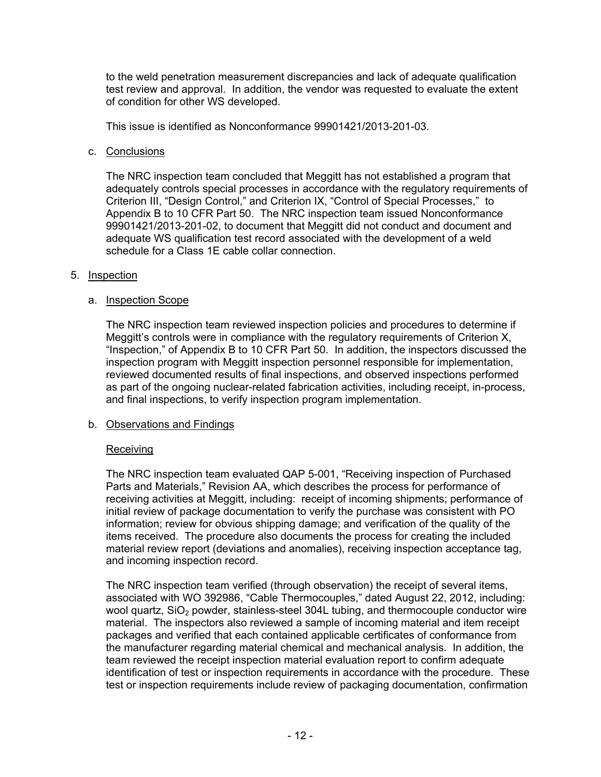to the weld penetration measurement discrepancies and lack of adequate qualification test review and approval. In addition, the vendor was requested to evaluate the extent of condition for other WS developed.

This issue is identified as Nonconformance 99901421/2013-201-03.

c. Conclusions

The NRC inspection team concluded that Meggitt has not established a program that adequately controls special processes in accordance with the regulatory requirements of Criterion III, "Design Control," and Criterion IX, "Control of Special Processes," to Appendix B to 10 CFR Part 50. The NRC inspection team issued Nonconformance 99901421/2013-201-02, to document that Meggitt did not conduct and document and adequate WS qualification test record associated with the development of a weld schedule for a Class 1E cable collar connection.

### 5. Inspection

### a. Inspection Scope

The NRC inspection team reviewed inspection policies and procedures to determine if Meggitt's controls were in compliance with the regulatory requirements of Criterion X, "Inspection," of Appendix B to 10 CFR Part 50. In addition, the inspectors discussed the inspection program with Meggitt inspection personnel responsible for implementation, reviewed documented results of final inspections, and observed inspections performed as part of the ongoing nuclear-related fabrication activities, including receipt, in-process, and final inspections, to verify inspection program implementation.

# b. Observations and Findings

# Receiving

The NRC inspection team evaluated QAP 5-001, "Receiving inspection of Purchased Parts and Materials," Revision AA, which describes the process for performance of receiving activities at Meggitt, including: receipt of incoming shipments; performance of initial review of package documentation to verify the purchase was consistent with PO information; review for obvious shipping damage; and verification of the quality of the items received. The procedure also documents the process for creating the included material review report (deviations and anomalies), receiving inspection acceptance tag, and incoming inspection record.

The NRC inspection team verified (through observation) the receipt of several items, associated with WO 392986, "Cable Thermocouples," dated August 22, 2012, including: wool quartz,  $SiO<sub>2</sub>$  powder, stainless-steel 304L tubing, and thermocouple conductor wire material. The inspectors also reviewed a sample of incoming material and item receipt packages and verified that each contained applicable certificates of conformance from the manufacturer regarding material chemical and mechanical analysis. In addition, the team reviewed the receipt inspection material evaluation report to confirm adequate identification of test or inspection requirements in accordance with the procedure. These test or inspection requirements include review of packaging documentation, confirmation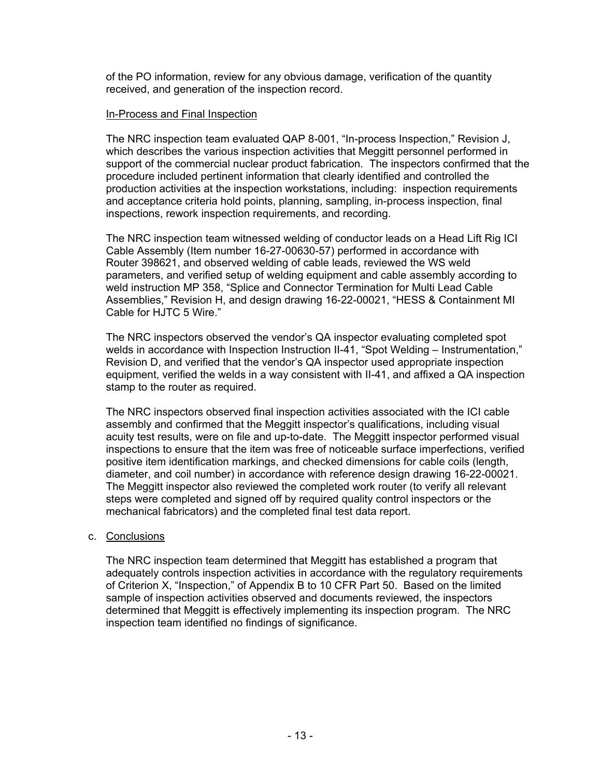of the PO information, review for any obvious damage, verification of the quantity received, and generation of the inspection record.

### In-Process and Final Inspection

The NRC inspection team evaluated QAP 8-001, "In-process Inspection," Revision J, which describes the various inspection activities that Meggitt personnel performed in support of the commercial nuclear product fabrication. The inspectors confirmed that the procedure included pertinent information that clearly identified and controlled the production activities at the inspection workstations, including: inspection requirements and acceptance criteria hold points, planning, sampling, in-process inspection, final inspections, rework inspection requirements, and recording.

The NRC inspection team witnessed welding of conductor leads on a Head Lift Rig ICI Cable Assembly (Item number 16-27-00630-57) performed in accordance with Router 398621, and observed welding of cable leads, reviewed the WS weld parameters, and verified setup of welding equipment and cable assembly according to weld instruction MP 358, "Splice and Connector Termination for Multi Lead Cable Assemblies," Revision H, and design drawing 16-22-00021, "HESS & Containment MI Cable for HJTC 5 Wire."

The NRC inspectors observed the vendor's QA inspector evaluating completed spot welds in accordance with Inspection Instruction II-41, "Spot Welding – Instrumentation," Revision D, and verified that the vendor's QA inspector used appropriate inspection equipment, verified the welds in a way consistent with II-41, and affixed a QA inspection stamp to the router as required.

The NRC inspectors observed final inspection activities associated with the ICI cable assembly and confirmed that the Meggitt inspector's qualifications, including visual acuity test results, were on file and up-to-date. The Meggitt inspector performed visual inspections to ensure that the item was free of noticeable surface imperfections, verified positive item identification markings, and checked dimensions for cable coils (length, diameter, and coil number) in accordance with reference design drawing 16-22-00021. The Meggitt inspector also reviewed the completed work router (to verify all relevant steps were completed and signed off by required quality control inspectors or the mechanical fabricators) and the completed final test data report.

# c. Conclusions

The NRC inspection team determined that Meggitt has established a program that adequately controls inspection activities in accordance with the regulatory requirements of Criterion X, "Inspection," of Appendix B to 10 CFR Part 50. Based on the limited sample of inspection activities observed and documents reviewed, the inspectors determined that Meggitt is effectively implementing its inspection program. The NRC inspection team identified no findings of significance.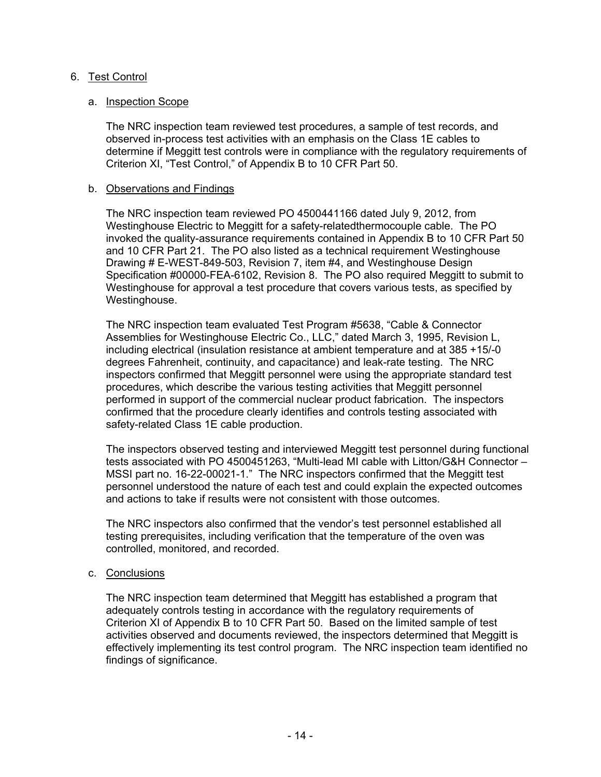# 6. Test Control

## a. Inspection Scope

The NRC inspection team reviewed test procedures, a sample of test records, and observed in-process test activities with an emphasis on the Class 1E cables to determine if Meggitt test controls were in compliance with the regulatory requirements of Criterion XI, "Test Control," of Appendix B to 10 CFR Part 50.

## b. Observations and Findings

The NRC inspection team reviewed PO 4500441166 dated July 9, 2012, from Westinghouse Electric to Meggitt for a safety-relatedthermocouple cable. The PO invoked the quality-assurance requirements contained in Appendix B to 10 CFR Part 50 and 10 CFR Part 21. The PO also listed as a technical requirement Westinghouse Drawing # E-WEST-849-503, Revision 7, item #4, and Westinghouse Design Specification #00000-FEA-6102, Revision 8. The PO also required Meggitt to submit to Westinghouse for approval a test procedure that covers various tests, as specified by Westinghouse.

The NRC inspection team evaluated Test Program #5638, "Cable & Connector Assemblies for Westinghouse Electric Co., LLC," dated March 3, 1995, Revision L, including electrical (insulation resistance at ambient temperature and at 385 +15/-0 degrees Fahrenheit, continuity, and capacitance) and leak-rate testing. The NRC inspectors confirmed that Meggitt personnel were using the appropriate standard test procedures, which describe the various testing activities that Meggitt personnel performed in support of the commercial nuclear product fabrication. The inspectors confirmed that the procedure clearly identifies and controls testing associated with safety-related Class 1E cable production.

The inspectors observed testing and interviewed Meggitt test personnel during functional tests associated with PO 4500451263, "Multi-lead MI cable with Litton/G&H Connector – MSSI part no. 16-22-00021-1." The NRC inspectors confirmed that the Meggitt test personnel understood the nature of each test and could explain the expected outcomes and actions to take if results were not consistent with those outcomes.

The NRC inspectors also confirmed that the vendor's test personnel established all testing prerequisites, including verification that the temperature of the oven was controlled, monitored, and recorded.

#### c. Conclusions

The NRC inspection team determined that Meggitt has established a program that adequately controls testing in accordance with the regulatory requirements of Criterion XI of Appendix B to 10 CFR Part 50. Based on the limited sample of test activities observed and documents reviewed, the inspectors determined that Meggitt is effectively implementing its test control program. The NRC inspection team identified no findings of significance.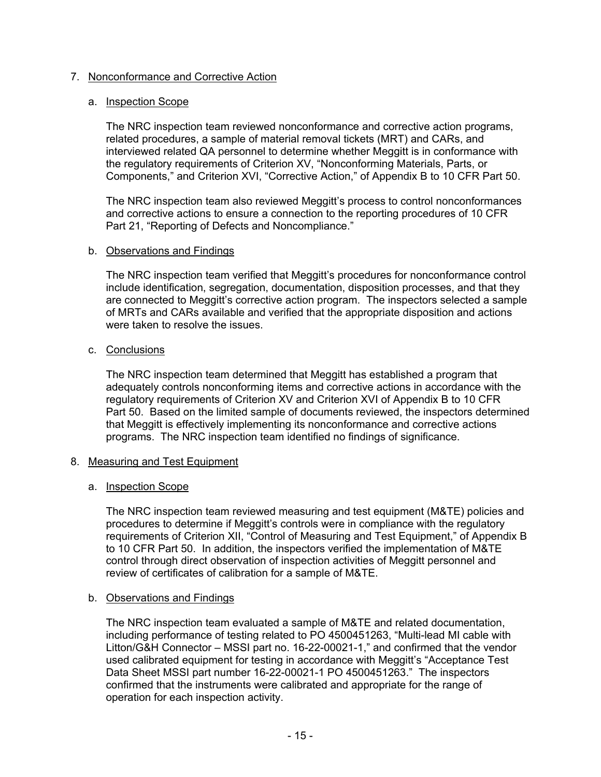# 7. Nonconformance and Corrective Action

### a. Inspection Scope

The NRC inspection team reviewed nonconformance and corrective action programs, related procedures, a sample of material removal tickets (MRT) and CARs, and interviewed related QA personnel to determine whether Meggitt is in conformance with the regulatory requirements of Criterion XV, "Nonconforming Materials, Parts, or Components," and Criterion XVI, "Corrective Action," of Appendix B to 10 CFR Part 50.

The NRC inspection team also reviewed Meggitt's process to control nonconformances and corrective actions to ensure a connection to the reporting procedures of 10 CFR Part 21, "Reporting of Defects and Noncompliance."

#### b. Observations and Findings

The NRC inspection team verified that Meggitt's procedures for nonconformance control include identification, segregation, documentation, disposition processes, and that they are connected to Meggitt's corrective action program. The inspectors selected a sample of MRTs and CARs available and verified that the appropriate disposition and actions were taken to resolve the issues.

### c. Conclusions

The NRC inspection team determined that Meggitt has established a program that adequately controls nonconforming items and corrective actions in accordance with the regulatory requirements of Criterion XV and Criterion XVI of Appendix B to 10 CFR Part 50. Based on the limited sample of documents reviewed, the inspectors determined that Meggitt is effectively implementing its nonconformance and corrective actions programs. The NRC inspection team identified no findings of significance.

#### 8. Measuring and Test Equipment

# a. Inspection Scope

The NRC inspection team reviewed measuring and test equipment (M&TE) policies and procedures to determine if Meggitt's controls were in compliance with the regulatory requirements of Criterion XII, "Control of Measuring and Test Equipment," of Appendix B to 10 CFR Part 50. In addition, the inspectors verified the implementation of M&TE control through direct observation of inspection activities of Meggitt personnel and review of certificates of calibration for a sample of M&TE.

#### b. Observations and Findings

The NRC inspection team evaluated a sample of M&TE and related documentation, including performance of testing related to PO 4500451263, "Multi-lead MI cable with Litton/G&H Connector – MSSI part no. 16-22-00021-1," and confirmed that the vendor used calibrated equipment for testing in accordance with Meggitt's "Acceptance Test Data Sheet MSSI part number 16-22-00021-1 PO 4500451263." The inspectors confirmed that the instruments were calibrated and appropriate for the range of operation for each inspection activity.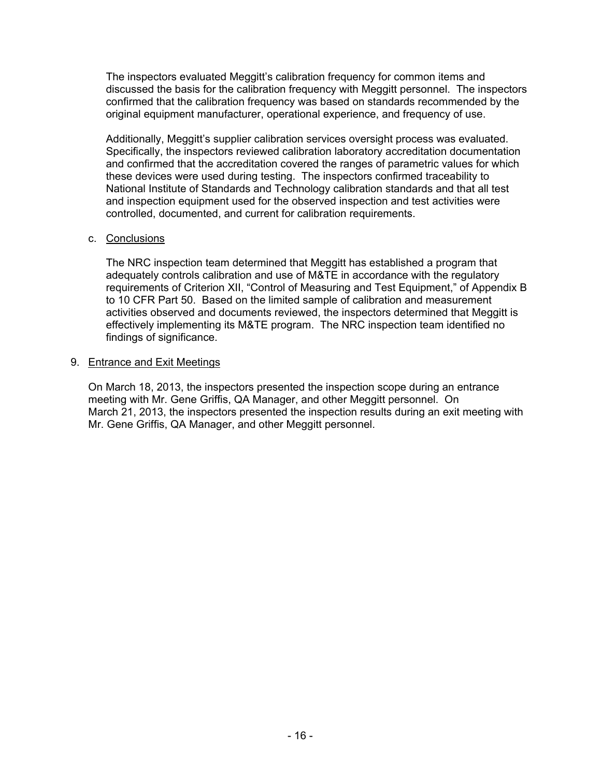The inspectors evaluated Meggitt's calibration frequency for common items and discussed the basis for the calibration frequency with Meggitt personnel. The inspectors confirmed that the calibration frequency was based on standards recommended by the original equipment manufacturer, operational experience, and frequency of use.

Additionally, Meggitt's supplier calibration services oversight process was evaluated. Specifically, the inspectors reviewed calibration laboratory accreditation documentation and confirmed that the accreditation covered the ranges of parametric values for which these devices were used during testing. The inspectors confirmed traceability to National Institute of Standards and Technology calibration standards and that all test and inspection equipment used for the observed inspection and test activities were controlled, documented, and current for calibration requirements.

### c. Conclusions

The NRC inspection team determined that Meggitt has established a program that adequately controls calibration and use of M&TE in accordance with the regulatory requirements of Criterion XII, "Control of Measuring and Test Equipment," of Appendix B to 10 CFR Part 50. Based on the limited sample of calibration and measurement activities observed and documents reviewed, the inspectors determined that Meggitt is effectively implementing its M&TE program. The NRC inspection team identified no findings of significance.

### 9. Entrance and Exit Meetings

On March 18, 2013, the inspectors presented the inspection scope during an entrance meeting with Mr. Gene Griffis, QA Manager, and other Meggitt personnel. On March 21, 2013, the inspectors presented the inspection results during an exit meeting with Mr. Gene Griffis, QA Manager, and other Meggitt personnel.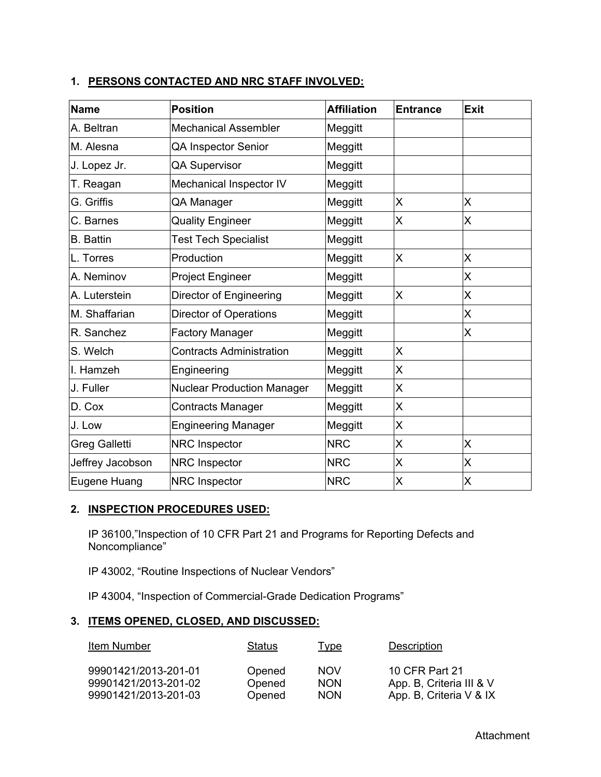| $\blacksquare$ . Little voites ille and into viale introlled. |                      |                    |                  |      |
|---------------------------------------------------------------|----------------------|--------------------|------------------|------|
| <b>Name</b>                                                   | <b>Position</b>      | <b>Affiliation</b> | <b>IEntrance</b> | Exit |
| A. Beltran                                                    | Mechanical Assembler | Meggitt            |                  |      |

# **1. PERSONS CONTACTED AND NRC STAFF INVOLVED:**

| שווואו               | <u>FUSILIUII</u>                  | AIIIIauvii | спиансе      | ᄃᆺᄔ |
|----------------------|-----------------------------------|------------|--------------|-----|
| A. Beltran           | <b>Mechanical Assembler</b>       | Meggitt    |              |     |
| M. Alesna            | QA Inspector Senior               | Meggitt    |              |     |
| J. Lopez Jr.         | <b>QA Supervisor</b>              | Meggitt    |              |     |
| T. Reagan            | Mechanical Inspector IV           | Meggitt    |              |     |
| G. Griffis           | QA Manager                        | Meggitt    | X            | X   |
| C. Barnes            | <b>Quality Engineer</b>           | Meggitt    | X            | X   |
| <b>B.</b> Battin     | <b>Test Tech Specialist</b>       | Meggitt    |              |     |
| L. Torres            | Production                        | Meggitt    | X            | X   |
| A. Neminov           | Project Engineer                  | Meggitt    |              | X   |
| A. Luterstein        | Director of Engineering           | Meggitt    | X            | X   |
| M. Shaffarian        | <b>Director of Operations</b>     | Meggitt    |              | Χ   |
| R. Sanchez           | <b>Factory Manager</b>            | Meggitt    |              | X   |
| S. Welch             | <b>Contracts Administration</b>   | Meggitt    | $\mathsf{X}$ |     |
| I. Hamzeh            | Engineering                       | Meggitt    | X            |     |
| J. Fuller            | <b>Nuclear Production Manager</b> | Meggitt    | X            |     |
| D. Cox               | <b>Contracts Manager</b>          | Meggitt    | X            |     |
| J. Low               | <b>Engineering Manager</b>        | Meggitt    | X            |     |
| <b>Greg Galletti</b> | NRC Inspector                     | <b>NRC</b> | X            | X   |
| Jeffrey Jacobson     | <b>NRC</b> Inspector              | <b>NRC</b> | X.           | X   |
| Eugene Huang         | NRC Inspector                     | <b>NRC</b> | X            | X   |

# **2. INSPECTION PROCEDURES USED:**

IP 36100,"Inspection of 10 CFR Part 21 and Programs for Reporting Defects and Noncompliance"

IP 43002, "Routine Inspections of Nuclear Vendors"

IP 43004, "Inspection of Commercial-Grade Dedication Programs"

# **3. ITEMS OPENED, CLOSED, AND DISCUSSED:**

| Item Number          | <b>Status</b> | <u>Type</u> | Description              |
|----------------------|---------------|-------------|--------------------------|
| 99901421/2013-201-01 | Opened        | <b>NOV</b>  | 10 CFR Part 21           |
| 99901421/2013-201-02 | Opened        | <b>NON</b>  | App. B, Criteria III & V |
| 99901421/2013-201-03 | Opened        | <b>NON</b>  | App. B, Criteria V & IX  |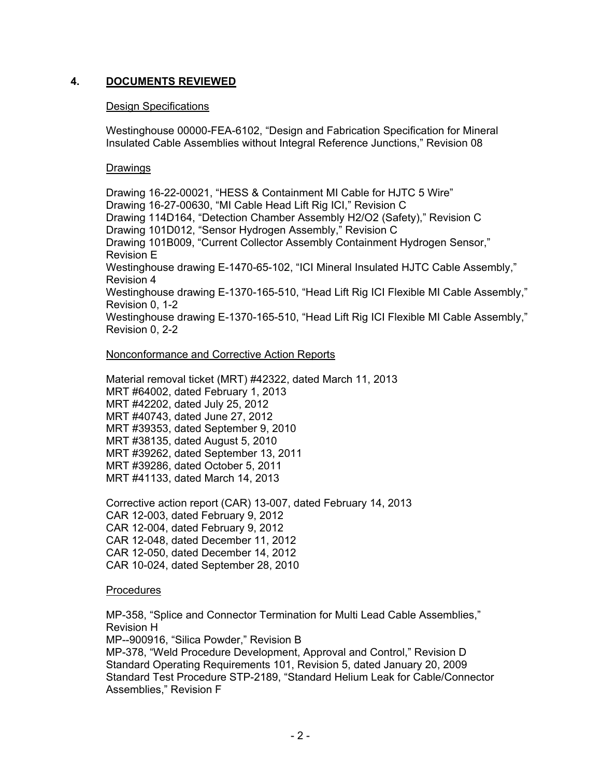# **4. DOCUMENTS REVIEWED**

## Design Specifications

Westinghouse 00000-FEA-6102, "Design and Fabrication Specification for Mineral Insulated Cable Assemblies without Integral Reference Junctions," Revision 08

### Drawings

Drawing 16-22-00021, "HESS & Containment MI Cable for HJTC 5 Wire" Drawing 16-27-00630, "MI Cable Head Lift Rig ICI," Revision C Drawing 114D164, "Detection Chamber Assembly H2/O2 (Safety)," Revision C Drawing 101D012, "Sensor Hydrogen Assembly," Revision C Drawing 101B009, "Current Collector Assembly Containment Hydrogen Sensor," Revision E Westinghouse drawing E-1470-65-102, "ICI Mineral Insulated HJTC Cable Assembly," Revision 4 Westinghouse drawing E-1370-165-510, "Head Lift Rig ICI Flexible MI Cable Assembly," Revision 0, 1-2 Westinghouse drawing E-1370-165-510, "Head Lift Rig ICI Flexible MI Cable Assembly," Revision 0, 2-2

### Nonconformance and Corrective Action Reports

Material removal ticket (MRT) #42322, dated March 11, 2013 MRT #64002, dated February 1, 2013 MRT #42202, dated July 25, 2012 MRT #40743, dated June 27, 2012 MRT #39353, dated September 9, 2010 MRT #38135, dated August 5, 2010 MRT #39262, dated September 13, 2011 MRT #39286, dated October 5, 2011 MRT #41133, dated March 14, 2013

Corrective action report (CAR) 13-007, dated February 14, 2013 CAR 12-003, dated February 9, 2012 CAR 12-004, dated February 9, 2012 CAR 12-048, dated December 11, 2012 CAR 12-050, dated December 14, 2012 CAR 10-024, dated September 28, 2010

#### **Procedures**

MP-358, "Splice and Connector Termination for Multi Lead Cable Assemblies," Revision H MP--900916, "Silica Powder," Revision B

MP-378, "Weld Procedure Development, Approval and Control," Revision D Standard Operating Requirements 101, Revision 5, dated January 20, 2009 Standard Test Procedure STP-2189, "Standard Helium Leak for Cable/Connector Assemblies," Revision F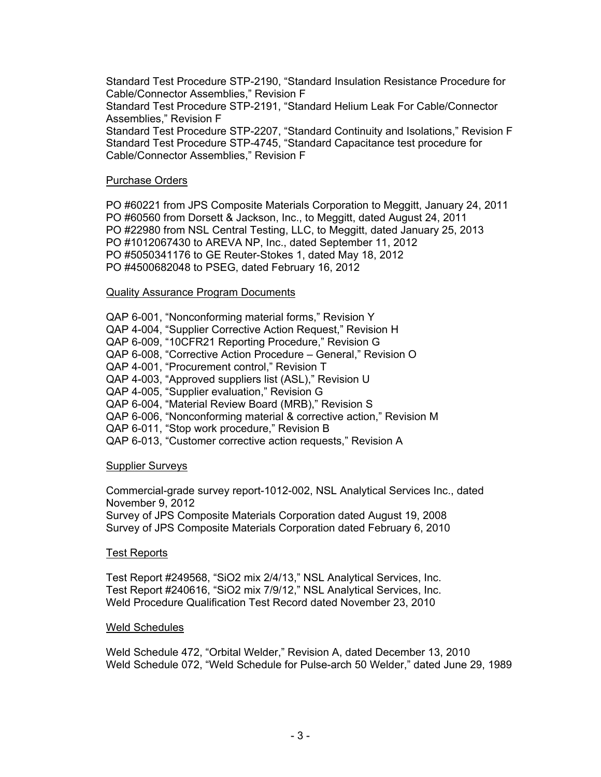Standard Test Procedure STP-2190, "Standard Insulation Resistance Procedure for Cable/Connector Assemblies," Revision F

Standard Test Procedure STP-2191, "Standard Helium Leak For Cable/Connector Assemblies," Revision F

Standard Test Procedure STP-2207, "Standard Continuity and Isolations," Revision F Standard Test Procedure STP-4745, "Standard Capacitance test procedure for Cable/Connector Assemblies," Revision F

#### Purchase Orders

PO #60221 from JPS Composite Materials Corporation to Meggitt, January 24, 2011 PO #60560 from Dorsett & Jackson, Inc., to Meggitt, dated August 24, 2011 PO #22980 from NSL Central Testing, LLC, to Meggitt, dated January 25, 2013 PO #1012067430 to AREVA NP, Inc., dated September 11, 2012 PO #5050341176 to GE Reuter-Stokes 1, dated May 18, 2012 PO #4500682048 to PSEG, dated February 16, 2012

### Quality Assurance Program Documents

QAP 6-001, "Nonconforming material forms," Revision Y QAP 4-004, "Supplier Corrective Action Request," Revision H QAP 6-009, "10CFR21 Reporting Procedure," Revision G QAP 6-008, "Corrective Action Procedure – General," Revision O QAP 4-001, "Procurement control," Revision T QAP 4-003, "Approved suppliers list (ASL)," Revision U QAP 4-005, "Supplier evaluation," Revision G QAP 6-004, "Material Review Board (MRB)," Revision S QAP 6-006, "Nonconforming material & corrective action," Revision M QAP 6-011, "Stop work procedure," Revision B QAP 6-013, "Customer corrective action requests," Revision A

#### Supplier Surveys

Commercial-grade survey report-1012-002, NSL Analytical Services Inc., dated November 9, 2012

Survey of JPS Composite Materials Corporation dated August 19, 2008 Survey of JPS Composite Materials Corporation dated February 6, 2010

# Test Reports

Test Report #249568, "SiO2 mix 2/4/13," NSL Analytical Services, Inc. Test Report #240616, "SiO2 mix 7/9/12," NSL Analytical Services, Inc. Weld Procedure Qualification Test Record dated November 23, 2010

#### Weld Schedules

Weld Schedule 472, "Orbital Welder," Revision A, dated December 13, 2010 Weld Schedule 072, "Weld Schedule for Pulse-arch 50 Welder," dated June 29, 1989